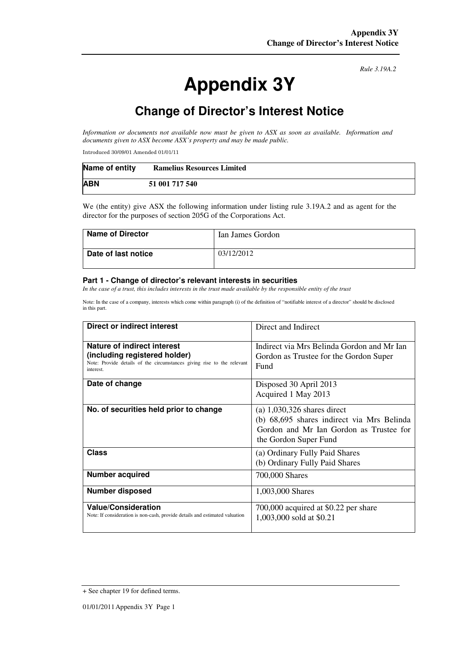# **Appendix 3Y**

*Rule 3.19A.2*

# **Change of Director's Interest Notice**

*Information or documents not available now must be given to ASX as soon as available. Information and documents given to ASX become ASX's property and may be made public.* 

Introduced 30/09/01 Amended 01/01/11

| Name of entity | <b>Ramelius Resources Limited</b> |
|----------------|-----------------------------------|
| <b>ABN</b>     | 51 001 717 540                    |

We (the entity) give ASX the following information under listing rule 3.19A.2 and as agent for the director for the purposes of section 205G of the Corporations Act.

| <b>Name of Director</b> | Ian James Gordon |
|-------------------------|------------------|
| Date of last notice     | 03/12/2012       |

#### **Part 1 - Change of director's relevant interests in securities**

*In the case of a trust, this includes interests in the trust made available by the responsible entity of the trust* 

Note: In the case of a company, interests which come within paragraph (i) of the definition of "notifiable interest of a director" should be disclosed in this part.

| Direct or indirect interest                                                                                                                         | Direct and Indirect                                                                                                                             |  |
|-----------------------------------------------------------------------------------------------------------------------------------------------------|-------------------------------------------------------------------------------------------------------------------------------------------------|--|
| Nature of indirect interest<br>(including registered holder)<br>Note: Provide details of the circumstances giving rise to the relevant<br>interest. | Indirect via Mrs Belinda Gordon and Mr Ian<br>Gordon as Trustee for the Gordon Super<br>Fund                                                    |  |
| Date of change                                                                                                                                      | Disposed 30 April 2013<br>Acquired 1 May 2013                                                                                                   |  |
| No. of securities held prior to change                                                                                                              | $(a)$ 1,030,326 shares direct<br>(b) 68,695 shares indirect via Mrs Belinda<br>Gordon and Mr Ian Gordon as Trustee for<br>the Gordon Super Fund |  |
| <b>Class</b>                                                                                                                                        | (a) Ordinary Fully Paid Shares<br>(b) Ordinary Fully Paid Shares                                                                                |  |
| <b>Number acquired</b>                                                                                                                              | 700,000 Shares                                                                                                                                  |  |
| <b>Number disposed</b>                                                                                                                              | 1,003,000 Shares                                                                                                                                |  |
| <b>Value/Consideration</b><br>Note: If consideration is non-cash, provide details and estimated valuation                                           | 700,000 acquired at \$0.22 per share<br>1,003,000 sold at \$0.21                                                                                |  |

<sup>+</sup> See chapter 19 for defined terms.